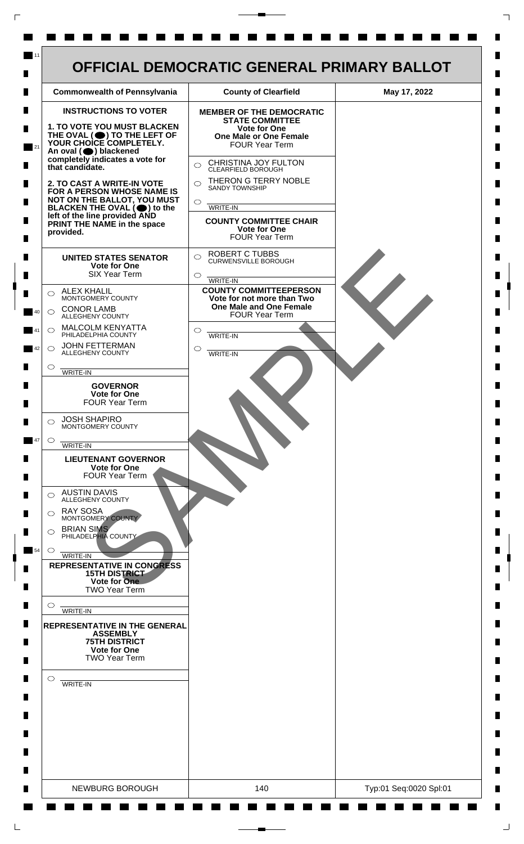

 $\mathsf{L}$ 

 $\Box$